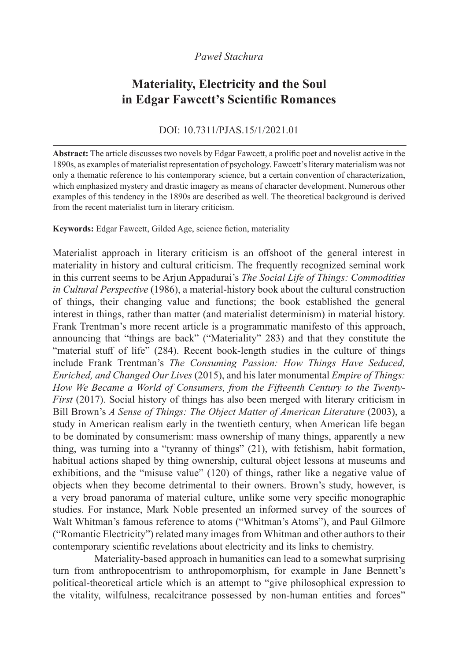## *Paweł Stachura*

# **Materiality, Electricity and the Soul in Edgar Fawcett's Scientific Romances**

### DOI: 10.7311/PJAS.15/1/2021.01

**Abstract:** The article discusses two novels by Edgar Fawcett, a prolific poet and novelist active in the 1890s, as examples of materialist representation of psychology. Fawcett's literary materialism was not only a thematic reference to his contemporary science, but a certain convention of characterization, which emphasized mystery and drastic imagery as means of character development. Numerous other examples of this tendency in the 1890s are described as well. The theoretical background is derived from the recent materialist turn in literary criticism.

#### **Keywords:** Edgar Fawcett, Gilded Age, science fiction, materiality

Materialist approach in literary criticism is an offshoot of the general interest in materiality in history and cultural criticism. The frequently recognized seminal work in this current seems to be Arjun Appadurai's *The Social Life of Things: Commodities in Cultural Perspective* (1986), a material-history book about the cultural construction of things, their changing value and functions; the book established the general interest in things, rather than matter (and materialist determinism) in material history. Frank Trentman's more recent article is a programmatic manifesto of this approach, announcing that "things are back" ("Materiality" 283) and that they constitute the "material stuff of life" (284). Recent book-length studies in the culture of things include Frank Trentman's *The Consuming Passion: How Things Have Seduced, Enriched, and Changed Our Lives* (2015), and his later monumental *Empire of Things: How We Became a World of Consumers, from the Fifteenth Century to the Twenty-First* (2017). Social history of things has also been merged with literary criticism in Bill Brown's *A Sense of Things: The Object Matter of American Literature* (2003), a study in American realism early in the twentieth century, when American life began to be dominated by consumerism: mass ownership of many things, apparently a new thing, was turning into a "tyranny of things" (21), with fetishism, habit formation, habitual actions shaped by thing ownership, cultural object lessons at museums and exhibitions, and the "misuse value" (120) of things, rather like a negative value of objects when they become detrimental to their owners. Brown's study, however, is a very broad panorama of material culture, unlike some very specific monographic studies. For instance, Mark Noble presented an informed survey of the sources of Walt Whitman's famous reference to atoms ("Whitman's Atoms"), and Paul Gilmore ("Romantic Electricity") related many images from Whitman and other authors to their contemporary scientific revelations about electricity and its links to chemistry.

Materiality-based approach in humanities can lead to a somewhat surprising turn from anthropocentrism to anthropomorphism, for example in Jane Bennett's political-theoretical article which is an attempt to "give philosophical expression to the vitality, wilfulness, recalcitrance possessed by non-human entities and forces"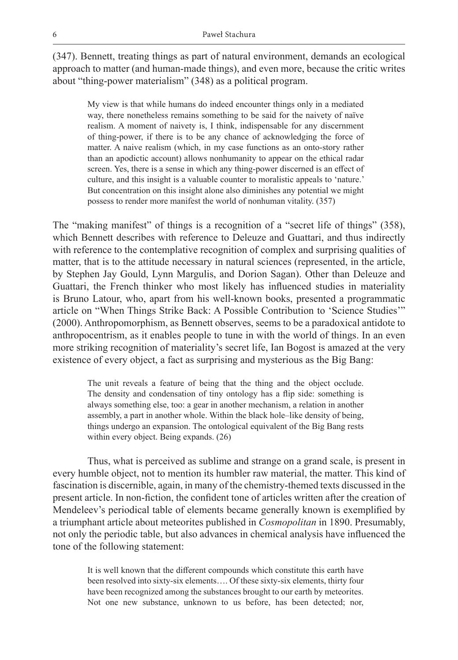(347). Bennett, treating things as part of natural environment, demands an ecological approach to matter (and human-made things), and even more, because the critic writes about "thing-power materialism" (348) as a political program.

My view is that while humans do indeed encounter things only in a mediated way, there nonetheless remains something to be said for the naivety of naïve realism. A moment of naivety is, I think, indispensable for any discernment of thing-power, if there is to be any chance of acknowledging the force of matter. A naive realism (which, in my case functions as an onto-story rather than an apodictic account) allows nonhumanity to appear on the ethical radar screen. Yes, there is a sense in which any thing-power discerned is an effect of culture, and this insight is a valuable counter to moralistic appeals to 'nature.' But concentration on this insight alone also diminishes any potential we might possess to render more manifest the world of nonhuman vitality. (357)

The "making manifest" of things is a recognition of a "secret life of things" (358), which Bennett describes with reference to Deleuze and Guattari, and thus indirectly with reference to the contemplative recognition of complex and surprising qualities of matter, that is to the attitude necessary in natural sciences (represented, in the article, by Stephen Jay Gould, Lynn Margulis, and Dorion Sagan). Other than Deleuze and Guattari, the French thinker who most likely has influenced studies in materiality is Bruno Latour, who, apart from his well-known books, presented a programmatic article on "When Things Strike Back: A Possible Contribution to 'Science Studies'" (2000). Anthropomorphism, as Bennett observes, seems to be a paradoxical antidote to anthropocentrism, as it enables people to tune in with the world of things. In an even more striking recognition of materiality's secret life, Ian Bogost is amazed at the very existence of every object, a fact as surprising and mysterious as the Big Bang:

The unit reveals a feature of being that the thing and the object occlude. The density and condensation of tiny ontology has a flip side: something is always something else, too: a gear in another mechanism, a relation in another assembly, a part in another whole. Within the black hole–like density of being, things undergo an expansion. The ontological equivalent of the Big Bang rests within every object. Being expands. (26)

Thus, what is perceived as sublime and strange on a grand scale, is present in every humble object, not to mention its humbler raw material, the matter. This kind of fascination is discernible, again, in many of the chemistry-themed texts discussed in the present article. In non-fiction, the confident tone of articles written after the creation of Mendeleev's periodical table of elements became generally known is exemplified by a triumphant article about meteorites published in *Cosmopolitan* in 1890. Presumably, not only the periodic table, but also advances in chemical analysis have influenced the tone of the following statement:

It is well known that the different compounds which constitute this earth have been resolved into sixty-six elements…. Of these sixty-six elements, thirty four have been recognized among the substances brought to our earth by meteorites. Not one new substance, unknown to us before, has been detected; nor,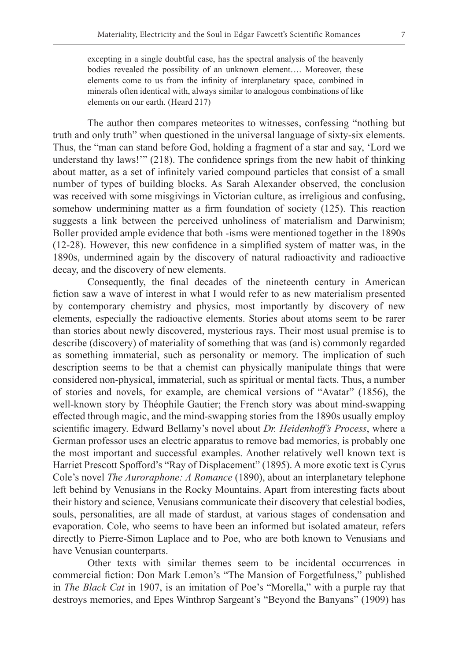excepting in a single doubtful case, has the spectral analysis of the heavenly bodies revealed the possibility of an unknown element…. Moreover, these elements come to us from the infinity of interplanetary space, combined in minerals often identical with, always similar to analogous combinations of like elements on our earth. (Heard 217)

The author then compares meteorites to witnesses, confessing "nothing but truth and only truth" when questioned in the universal language of sixty-six elements. Thus, the "man can stand before God, holding a fragment of a star and say, 'Lord we understand thy laws!'" (218). The confidence springs from the new habit of thinking about matter, as a set of infinitely varied compound particles that consist of a small number of types of building blocks. As Sarah Alexander observed, the conclusion was received with some misgivings in Victorian culture, as irreligious and confusing, somehow undermining matter as a firm foundation of society (125). This reaction suggests a link between the perceived unholiness of materialism and Darwinism; Boller provided ample evidence that both -isms were mentioned together in the 1890s (12-28). However, this new confidence in a simplified system of matter was, in the 1890s, undermined again by the discovery of natural radioactivity and radioactive decay, and the discovery of new elements.

Consequently, the final decades of the nineteenth century in American fiction saw a wave of interest in what I would refer to as new materialism presented by contemporary chemistry and physics, most importantly by discovery of new elements, especially the radioactive elements. Stories about atoms seem to be rarer than stories about newly discovered, mysterious rays. Their most usual premise is to describe (discovery) of materiality of something that was (and is) commonly regarded as something immaterial, such as personality or memory. The implication of such description seems to be that a chemist can physically manipulate things that were considered non-physical, immaterial, such as spiritual or mental facts. Thus, a number of stories and novels, for example, are chemical versions of "Avatar" (1856), the well-known story by Théophile Gautier; the French story was about mind-swapping effected through magic, and the mind-swapping stories from the 1890s usually employ scientific imagery. Edward Bellamy's novel about *Dr. Heidenhoff's Process*, where a German professor uses an electric apparatus to remove bad memories, is probably one the most important and successful examples. Another relatively well known text is Harriet Prescott Spofford's "Ray of Displacement" (1895). A more exotic text is Cyrus Cole's novel *The Auroraphone: A Romance* (1890), about an interplanetary telephone left behind by Venusians in the Rocky Mountains. Apart from interesting facts about their history and science, Venusians communicate their discovery that celestial bodies, souls, personalities, are all made of stardust, at various stages of condensation and evaporation. Cole, who seems to have been an informed but isolated amateur, refers directly to Pierre-Simon Laplace and to Poe, who are both known to Venusians and have Venusian counterparts.

Other texts with similar themes seem to be incidental occurrences in commercial fiction: Don Mark Lemon's "The Mansion of Forgetfulness," published in *The Black Cat* in 1907, is an imitation of Poe's "Morella," with a purple ray that destroys memories, and Epes Winthrop Sargeant's "Beyond the Banyans" (1909) has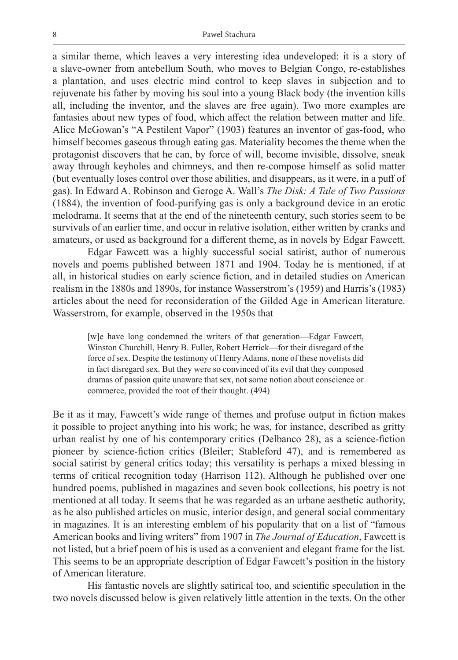a similar theme, which leaves a very interesting idea undeveloped: it is a story of a slave-owner from antebellum South, who moves to Belgian Congo, re-establishes a plantation, and uses electric mind control to keep slaves in subjection and to rejuvenate his father by moving his soul into a young Black body (the invention kills all, including the inventor, and the slaves are free again). Two more examples are fantasies about new types of food, which affect the relation between matter and life. Alice McGowan's "A Pestilent Vapor" (1903) features an inventor of gas-food, who himself becomes gaseous through eating gas. Materiality becomes the theme when the protagonist discovers that he can, by force of will, become invisible, dissolve, sneak away through keyholes and chimneys, and then re-compose himself as solid matter (but eventually loses control over those abilities, and disappears, as it were, in a puff of gas). In Edward A. Robinson and Geroge A. Wall's *The Disk: A Tale of Two Passions* (1884), the invention of food-purifying gas is only a background device in an erotic melodrama. It seems that at the end of the nineteenth century, such stories seem to be survivals of an earlier time, and occur in relative isolation, either written by cranks and amateurs, or used as background for a different theme, as in novels by Edgar Fawcett.

Edgar Fawcett was a highly successful social satirist, author of numerous novels and poems published between 1871 and 1904. Today he is mentioned, if at all, in historical studies on early science fiction, and in detailed studies on American realism in the 1880s and 1890s, for instance Wasserstrom's (1959) and Harris's (1983) articles about the need for reconsideration of the Gilded Age in American literature. Wasserstrom, for example, observed in the 1950s that

[w]e have long condemned the writers of that generation—Edgar Fawcett, Winston Churchill, Henry B. Fuller, Robert Herrick—for their disregard of the force of sex. Despite the testimony of Henry Adams, none of these novelists did in fact disregard sex. But they were so convinced of its evil that they composed dramas of passion quite unaware that sex, not some notion about conscience or commerce, provided the root of their thought. (494)

Be it as it may, Fawcett's wide range of themes and profuse output in fiction makes it possible to project anything into his work; he was, for instance, described as gritty urban realist by one of his contemporary critics (Delbanco 28), as a science-fiction pioneer by science-fiction critics (Bleiler; Stableford 47), and is remembered as social satirist by general critics today; this versatility is perhaps a mixed blessing in terms of critical recognition today (Harrison 112). Although he published over one hundred poems, published in magazines and seven book collections, his poetry is not mentioned at all today. It seems that he was regarded as an urbane aesthetic authority, as he also published articles on music, interior design, and general social commentary in magazines. It is an interesting emblem of his popularity that on a list of "famous American books and living writers" from 1907 in *The Journal of Education*, Fawcett is not listed, but a brief poem of his is used as a convenient and elegant frame for the list. This seems to be an appropriate description of Edgar Fawcett's position in the history of American literature.

His fantastic novels are slightly satirical too, and scientific speculation in the two novels discussed below is given relatively little attention in the texts. On the other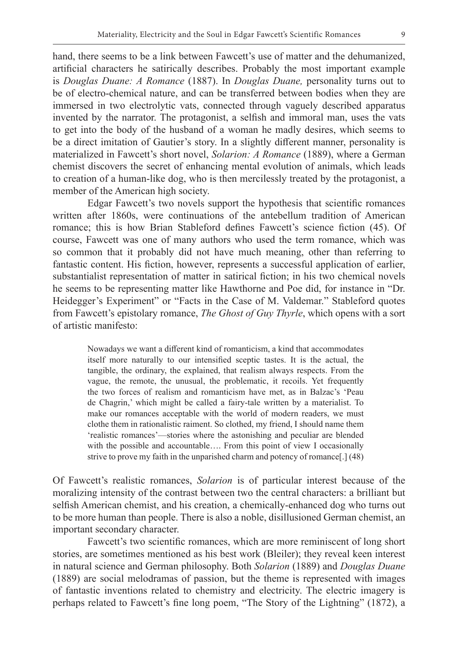hand, there seems to be a link between Fawcett's use of matter and the dehumanized, artificial characters he satirically describes. Probably the most important example is *Douglas Duane: A Romance* (1887). In *Douglas Duane,* personality turns out to be of electro-chemical nature, and can be transferred between bodies when they are immersed in two electrolytic vats, connected through vaguely described apparatus invented by the narrator. The protagonist, a selfish and immoral man, uses the vats to get into the body of the husband of a woman he madly desires, which seems to be a direct imitation of Gautier's story. In a slightly different manner, personality is materialized in Fawcett's short novel, *Solarion: A Romance* (1889), where a German chemist discovers the secret of enhancing mental evolution of animals, which leads to creation of a human-like dog, who is then mercilessly treated by the protagonist, a member of the American high society.

Edgar Fawcett's two novels support the hypothesis that scientific romances written after 1860s, were continuations of the antebellum tradition of American romance; this is how Brian Stableford defines Fawcett's science fiction (45). Of course, Fawcett was one of many authors who used the term romance, which was so common that it probably did not have much meaning, other than referring to fantastic content. His fiction, however, represents a successful application of earlier, substantialist representation of matter in satirical fiction; in his two chemical novels he seems to be representing matter like Hawthorne and Poe did, for instance in "Dr. Heidegger's Experiment" or "Facts in the Case of M. Valdemar." Stableford quotes from Fawcett's epistolary romance, *The Ghost of Guy Thyrle*, which opens with a sort of artistic manifesto:

Nowadays we want a different kind of romanticism, a kind that accommodates itself more naturally to our intensified sceptic tastes. It is the actual, the tangible, the ordinary, the explained, that realism always respects. From the vague, the remote, the unusual, the problematic, it recoils. Yet frequently the two forces of realism and romanticism have met, as in Balzac's 'Peau de Chagrin,' which might be called a fairy-tale written by a materialist. To make our romances acceptable with the world of modern readers, we must clothe them in rationalistic raiment. So clothed, my friend, I should name them 'realistic romances'—stories where the astonishing and peculiar are blended with the possible and accountable.... From this point of view I occasionally strive to prove my faith in the unparished charm and potency of romance[.] (48)

Of Fawcett's realistic romances, *Solarion* is of particular interest because of the moralizing intensity of the contrast between two the central characters: a brilliant but selfish American chemist, and his creation, a chemically-enhanced dog who turns out to be more human than people. There is also a noble, disillusioned German chemist, an important secondary character.

Fawcett's two scientific romances, which are more reminiscent of long short stories, are sometimes mentioned as his best work (Bleiler); they reveal keen interest in natural science and German philosophy. Both *Solarion* (1889) and *Douglas Duane* (1889) are social melodramas of passion, but the theme is represented with images of fantastic inventions related to chemistry and electricity. The electric imagery is perhaps related to Fawcett's fine long poem, "The Story of the Lightning" (1872), a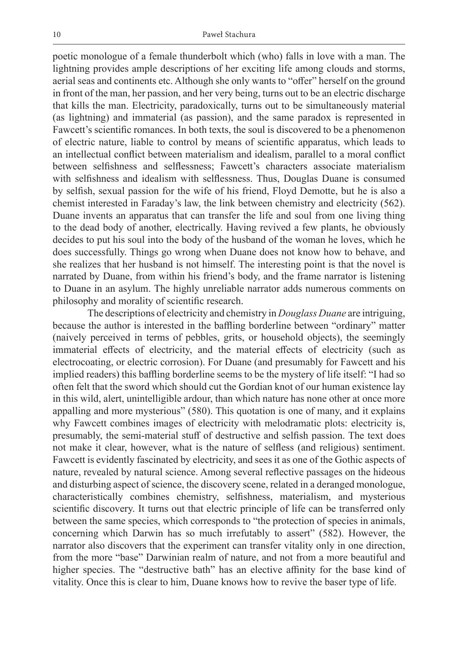poetic monologue of a female thunderbolt which (who) falls in love with a man. The lightning provides ample descriptions of her exciting life among clouds and storms, aerial seas and continents etc. Although she only wants to "offer" herself on the ground in front of the man, her passion, and her very being, turns out to be an electric discharge that kills the man. Electricity, paradoxically, turns out to be simultaneously material (as lightning) and immaterial (as passion), and the same paradox is represented in Fawcett's scientific romances. In both texts, the soul is discovered to be a phenomenon of electric nature, liable to control by means of scientific apparatus, which leads to an intellectual conflict between materialism and idealism, parallel to a moral conflict between selfishness and selflessness; Fawcett's characters associate materialism with selfishness and idealism with selflessness. Thus, Douglas Duane is consumed by selfish, sexual passion for the wife of his friend, Floyd Demotte, but he is also a chemist interested in Faraday's law, the link between chemistry and electricity (562). Duane invents an apparatus that can transfer the life and soul from one living thing to the dead body of another, electrically. Having revived a few plants, he obviously decides to put his soul into the body of the husband of the woman he loves, which he does successfully. Things go wrong when Duane does not know how to behave, and she realizes that her husband is not himself. The interesting point is that the novel is narrated by Duane, from within his friend's body, and the frame narrator is listening to Duane in an asylum. The highly unreliable narrator adds numerous comments on philosophy and morality of scientific research.

The descriptions of electricity and chemistry in *Douglass Duane* are intriguing, because the author is interested in the baffling borderline between "ordinary" matter (naively perceived in terms of pebbles, grits, or household objects), the seemingly immaterial effects of electricity, and the material effects of electricity (such as electrocoating, or electric corrosion). For Duane (and presumably for Fawcett and his implied readers) this baffling borderline seems to be the mystery of life itself: "I had so often felt that the sword which should cut the Gordian knot of our human existence lay in this wild, alert, unintelligible ardour, than which nature has none other at once more appalling and more mysterious" (580). This quotation is one of many, and it explains why Fawcett combines images of electricity with melodramatic plots: electricity is, presumably, the semi-material stuff of destructive and selfish passion. The text does not make it clear, however, what is the nature of selfless (and religious) sentiment. Fawcett is evidently fascinated by electricity, and sees it as one of the Gothic aspects of nature, revealed by natural science. Among several reflective passages on the hideous and disturbing aspect of science, the discovery scene, related in a deranged monologue, characteristically combines chemistry, selfishness, materialism, and mysterious scientific discovery. It turns out that electric principle of life can be transferred only between the same species, which corresponds to "the protection of species in animals, concerning which Darwin has so much irrefutably to assert" (582). However, the narrator also discovers that the experiment can transfer vitality only in one direction, from the more "base" Darwinian realm of nature, and not from a more beautiful and higher species. The "destructive bath" has an elective affinity for the base kind of vitality. Once this is clear to him, Duane knows how to revive the baser type of life.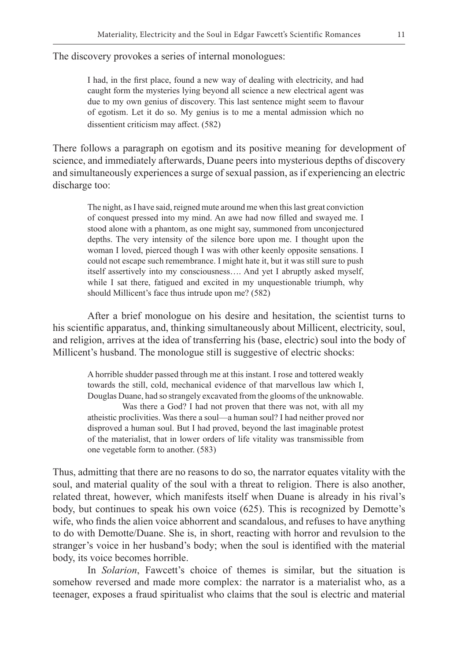The discovery provokes a series of internal monologues:

I had, in the first place, found a new way of dealing with electricity, and had caught form the mysteries lying beyond all science a new electrical agent was due to my own genius of discovery. This last sentence might seem to flavour of egotism. Let it do so. My genius is to me a mental admission which no dissentient criticism may affect. (582)

There follows a paragraph on egotism and its positive meaning for development of science, and immediately afterwards, Duane peers into mysterious depths of discovery and simultaneously experiences a surge of sexual passion, as if experiencing an electric discharge too:

The night, as I have said, reigned mute around me when this last great conviction of conquest pressed into my mind. An awe had now filled and swayed me. I stood alone with a phantom, as one might say, summoned from unconjectured depths. The very intensity of the silence bore upon me. I thought upon the woman I loved, pierced though I was with other keenly opposite sensations. I could not escape such remembrance. I might hate it, but it was still sure to push itself assertively into my consciousness…. And yet I abruptly asked myself, while I sat there, fatigued and excited in my unquestionable triumph, why should Millicent's face thus intrude upon me? (582)

After a brief monologue on his desire and hesitation, the scientist turns to his scientific apparatus, and, thinking simultaneously about Millicent, electricity, soul, and religion, arrives at the idea of transferring his (base, electric) soul into the body of Millicent's husband. The monologue still is suggestive of electric shocks:

A horrible shudder passed through me at this instant. I rose and tottered weakly towards the still, cold, mechanical evidence of that marvellous law which I, Douglas Duane, had so strangely excavated from the glooms of the unknowable. Was there a God? I had not proven that there was not, with all my atheistic proclivities. Was there a soul—a human soul? I had neither proved nor disproved a human soul. But I had proved, beyond the last imaginable protest of the materialist, that in lower orders of life vitality was transmissible from one vegetable form to another. (583)

Thus, admitting that there are no reasons to do so, the narrator equates vitality with the soul, and material quality of the soul with a threat to religion. There is also another, related threat, however, which manifests itself when Duane is already in his rival's body, but continues to speak his own voice (625). This is recognized by Demotte's wife, who finds the alien voice abhorrent and scandalous, and refuses to have anything to do with Demotte/Duane. She is, in short, reacting with horror and revulsion to the stranger's voice in her husband's body; when the soul is identified with the material body, its voice becomes horrible.

In *Solarion*, Fawcett's choice of themes is similar, but the situation is somehow reversed and made more complex: the narrator is a materialist who, as a teenager, exposes a fraud spiritualist who claims that the soul is electric and material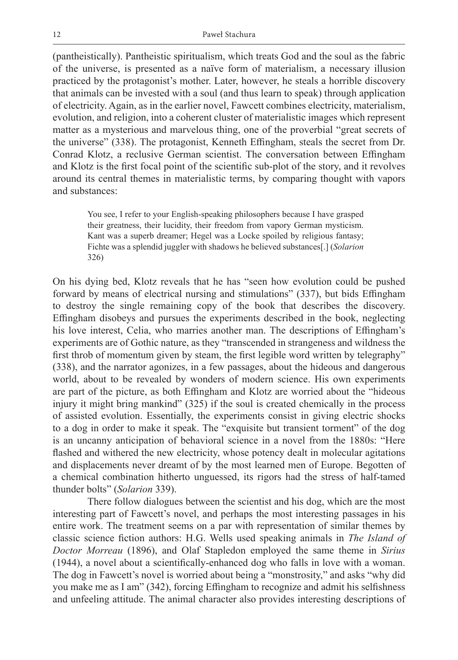(pantheistically). Pantheistic spiritualism, which treats God and the soul as the fabric of the universe, is presented as a naïve form of materialism, a necessary illusion practiced by the protagonist's mother. Later, however, he steals a horrible discovery that animals can be invested with a soul (and thus learn to speak) through application of electricity. Again, as in the earlier novel, Fawcett combines electricity, materialism, evolution, and religion, into a coherent cluster of materialistic images which represent matter as a mysterious and marvelous thing, one of the proverbial "great secrets of the universe" (338). The protagonist, Kenneth Effingham, steals the secret from Dr. Conrad Klotz, a reclusive German scientist. The conversation between Effingham and Klotz is the first focal point of the scientific sub-plot of the story, and it revolves around its central themes in materialistic terms, by comparing thought with vapors and substances:

You see, I refer to your English-speaking philosophers because I have grasped their greatness, their lucidity, their freedom from vapory German mysticism. Kant was a superb dreamer; Hegel was a Locke spoiled by religious fantasy; Fichte was a splendid juggler with shadows he believed substances[.] (*Solarion* 326)

On his dying bed, Klotz reveals that he has "seen how evolution could be pushed forward by means of electrical nursing and stimulations" (337), but bids Effingham to destroy the single remaining copy of the book that describes the discovery. Effingham disobeys and pursues the experiments described in the book, neglecting his love interest, Celia, who marries another man. The descriptions of Effingham's experiments are of Gothic nature, as they "transcended in strangeness and wildness the first throb of momentum given by steam, the first legible word written by telegraphy" (338), and the narrator agonizes, in a few passages, about the hideous and dangerous world, about to be revealed by wonders of modern science. His own experiments are part of the picture, as both Effingham and Klotz are worried about the "hideous injury it might bring mankind" (325) if the soul is created chemically in the process of assisted evolution. Essentially, the experiments consist in giving electric shocks to a dog in order to make it speak. The "exquisite but transient torment" of the dog is an uncanny anticipation of behavioral science in a novel from the 1880s: "Here flashed and withered the new electricity, whose potency dealt in molecular agitations and displacements never dreamt of by the most learned men of Europe. Begotten of a chemical combination hitherto unguessed, its rigors had the stress of half-tamed thunder bolts" (*Solarion* 339).

There follow dialogues between the scientist and his dog, which are the most interesting part of Fawcett's novel, and perhaps the most interesting passages in his entire work. The treatment seems on a par with representation of similar themes by classic science fiction authors: H.G. Wells used speaking animals in *The Island of Doctor Morreau* (1896), and Olaf Stapledon employed the same theme in *Sirius* (1944), a novel about a scientifically-enhanced dog who falls in love with a woman. The dog in Fawcett's novel is worried about being a "monstrosity," and asks "why did you make me as I am" (342), forcing Effingham to recognize and admit his selfishness and unfeeling attitude. The animal character also provides interesting descriptions of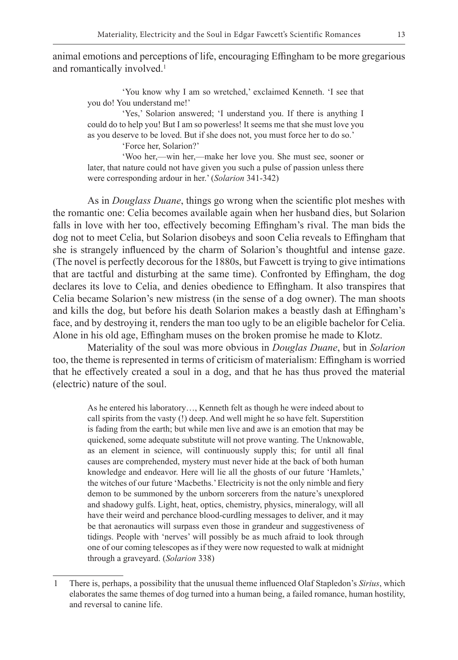animal emotions and perceptions of life, encouraging Effingham to be more gregarious and romantically involved.<sup>1</sup>

'You know why I am so wretched,' exclaimed Kenneth. 'I see that you do! You understand me!'

'Yes,' Solarion answered; 'I understand you. If there is anything I could do to help you! But I am so powerless! It seems me that she must love you as you deserve to be loved. But if she does not, you must force her to do so.'

'Force her, Solarion?'

'Woo her,—win her,—make her love you. She must see, sooner or later, that nature could not have given you such a pulse of passion unless there were corresponding ardour in her.' (*Solarion* 341-342)

As in *Douglass Duane*, things go wrong when the scientific plot meshes with the romantic one: Celia becomes available again when her husband dies, but Solarion falls in love with her too, effectively becoming Effingham's rival. The man bids the dog not to meet Celia, but Solarion disobeys and soon Celia reveals to Effingham that she is strangely influenced by the charm of Solarion's thoughtful and intense gaze. (The novel is perfectly decorous for the 1880s, but Fawcett is trying to give intimations that are tactful and disturbing at the same time). Confronted by Effingham, the dog declares its love to Celia, and denies obedience to Effingham. It also transpires that Celia became Solarion's new mistress (in the sense of a dog owner). The man shoots and kills the dog, but before his death Solarion makes a beastly dash at Effingham's face, and by destroying it, renders the man too ugly to be an eligible bachelor for Celia. Alone in his old age, Effingham muses on the broken promise he made to Klotz.

Materiality of the soul was more obvious in *Douglas Duane*, but in *Solarion* too, the theme is represented in terms of criticism of materialism: Effingham is worried that he effectively created a soul in a dog, and that he has thus proved the material (electric) nature of the soul.

As he entered his laboratory…, Kenneth felt as though he were indeed about to call spirits from the vasty (!) deep. And well might he so have felt. Superstition is fading from the earth; but while men live and awe is an emotion that may be quickened, some adequate substitute will not prove wanting. The Unknowable, as an element in science, will continuously supply this; for until all final causes are comprehended, mystery must never hide at the back of both human knowledge and endeavor. Here will lie all the ghosts of our future 'Hamlets,' the witches of our future 'Macbeths.' Electricity is not the only nimble and fiery demon to be summoned by the unborn sorcerers from the nature's unexplored and shadowy gulfs. Light, heat, optics, chemistry, physics, mineralogy, will all have their weird and perchance blood-curdling messages to deliver, and it may be that aeronautics will surpass even those in grandeur and suggestiveness of tidings. People with 'nerves' will possibly be as much afraid to look through one of our coming telescopes as if they were now requested to walk at midnight through a graveyard. (*Solarion* 338)

<sup>1</sup> There is, perhaps, a possibility that the unusual theme influenced Olaf Stapledon's *Sirius*, which elaborates the same themes of dog turned into a human being, a failed romance, human hostility, and reversal to canine life.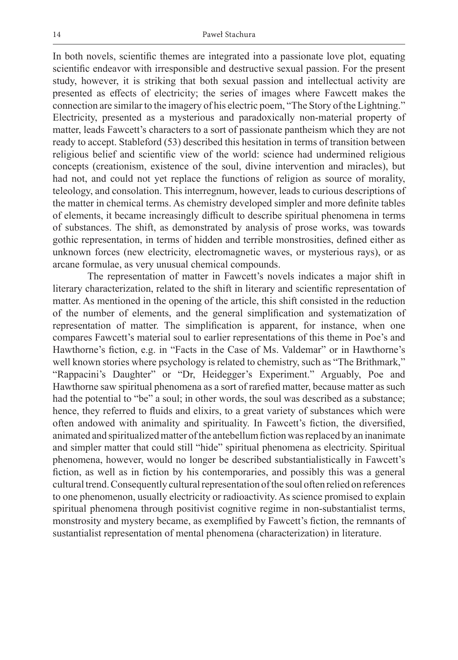In both novels, scientific themes are integrated into a passionate love plot, equating scientific endeavor with irresponsible and destructive sexual passion. For the present study, however, it is striking that both sexual passion and intellectual activity are presented as effects of electricity; the series of images where Fawcett makes the connection are similar to the imagery of his electric poem, "The Story of the Lightning." Electricity, presented as a mysterious and paradoxically non-material property of matter, leads Fawcett's characters to a sort of passionate pantheism which they are not ready to accept. Stableford (53) described this hesitation in terms of transition between religious belief and scientific view of the world: science had undermined religious concepts (creationism, existence of the soul, divine intervention and miracles), but had not, and could not yet replace the functions of religion as source of morality, teleology, and consolation. This interregnum, however, leads to curious descriptions of the matter in chemical terms. As chemistry developed simpler and more definite tables of elements, it became increasingly difficult to describe spiritual phenomena in terms of substances. The shift, as demonstrated by analysis of prose works, was towards gothic representation, in terms of hidden and terrible monstrosities, defined either as unknown forces (new electricity, electromagnetic waves, or mysterious rays), or as arcane formulae, as very unusual chemical compounds.

The representation of matter in Fawcett's novels indicates a major shift in literary characterization, related to the shift in literary and scientific representation of matter. As mentioned in the opening of the article, this shift consisted in the reduction of the number of elements, and the general simplification and systematization of representation of matter. The simplification is apparent, for instance, when one compares Fawcett's material soul to earlier representations of this theme in Poe's and Hawthorne's fiction, e.g. in "Facts in the Case of Ms. Valdemar" or in Hawthorne's well known stories where psychology is related to chemistry, such as "The Brithmark," "Rappacini's Daughter" or "Dr, Heidegger's Experiment." Arguably, Poe and Hawthorne saw spiritual phenomena as a sort of rarefied matter, because matter as such had the potential to "be" a soul; in other words, the soul was described as a substance; hence, they referred to fluids and elixirs, to a great variety of substances which were often andowed with animality and spirituality. In Fawcett's fiction, the diversified, animated and spiritualized matter of the antebellum fiction was replaced by an inanimate and simpler matter that could still "hide" spiritual phenomena as electricity. Spiritual phenomena, however, would no longer be described substantialistically in Fawcett's fiction, as well as in fiction by his contemporaries, and possibly this was a general cultural trend. Consequently cultural representation of the soul often relied on references to one phenomenon, usually electricity or radioactivity. As science promised to explain spiritual phenomena through positivist cognitive regime in non-substantialist terms, monstrosity and mystery became, as exemplified by Fawcett's fiction, the remnants of sustantialist representation of mental phenomena (characterization) in literature.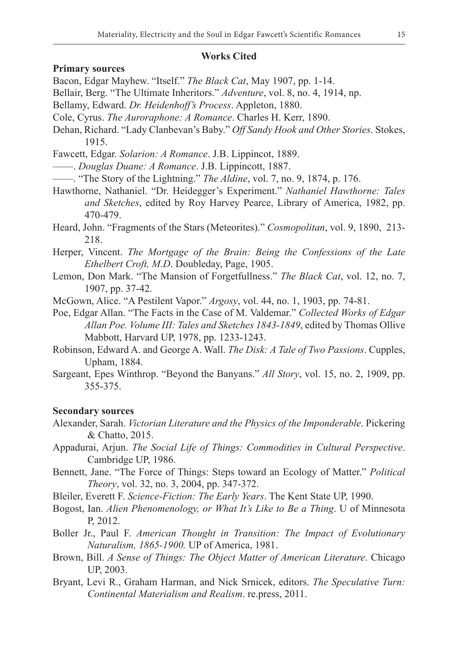#### **Works Cited**

#### **Primary sources**

Bacon, Edgar Mayhew. "Itself." *The Black Cat*, May 1907, pp. 1-14.

- Bellair, Berg. "The Ultimate Inheritors." *Adventure*, vol. 8, no. 4, 1914, np.
- Bellamy, Edward. *Dr. Heidenhoff's Process*. Appleton, 1880.
- Cole, Cyrus. *The Auroraphone: A Romance*. Charles H. Kerr, 1890.
- Dehan, Richard. "Lady Clanbevan's Baby." *Off Sandy Hook and Other Stories*. Stokes, 1915.
- Fawcett, Edgar. *Solarion: A Romance*. J.B. Lippincot, 1889.
- ——. *Douglas Duane: A Romance*. J.B. Lippincott, 1887.
- ——. "The Story of the Lightning." *The Aldine*, vol. 7, no. 9, 1874, p. 176.
- Hawthorne, Nathaniel. "Dr. Heidegger's Experiment." *Nathaniel Hawthorne: Tales and Sketches*, edited by Roy Harvey Pearce, Library of America, 1982, pp. 470-479.
- Heard, John. "Fragments of the Stars (Meteorites)." *Cosmopolitan*, vol. 9, 1890, 213- 218.
- Herper, Vincent. *The Mortgage of the Brain: Being the Confessions of the Late Ethelbert Croft, M.D*. Doubleday, Page, 1905.
- Lemon, Don Mark. "The Mansion of Forgetfullness." *The Black Cat*, vol. 12, no. 7, 1907, pp. 37-42.
- McGown, Alice. "A Pestilent Vapor." *Argosy*, vol. 44, no. 1, 1903, pp. 74-81.
- Poe, Edgar Allan. "The Facts in the Case of M. Valdemar." *Collected Works of Edgar Allan Poe. Volume III: Tales and Sketches 1843-1849*, edited by Thomas Ollive Mabbott, Harvard UP, 1978, pp. 1233-1243.
- Robinson, Edward A. and George A. Wall. *The Disk: A Tale of Two Passions*. Cupples, Upham, 1884.
- Sargeant, Epes Winthrop. "Beyond the Banyans." *All Story*, vol. 15, no. 2, 1909, pp. 355-375.

### **Secondary sources**

- Alexander, Sarah. *Victorian Literature and the Physics of the Imponderable*. Pickering & Chatto, 2015.
- Appadurai, Arjun. *The Social Life of Things: Commodities in Cultural Perspective*. Cambridge UP, 1986.
- Bennett, Jane. "The Force of Things: Steps toward an Ecology of Matter." *Political Theory*, vol. 32, no. 3, 2004, pp. 347-372.
- Bleiler, Everett F. *Science-Fiction: The Early Years*. The Kent State UP, 1990.
- Bogost, Ian. *Alien Phenomenology, or What It's Like to Be a Thing*. U of Minnesota P, 2012.
- Boller Jr., Paul F. *American Thought in Transition: The Impact of Evolutionary Naturalism, 1865-1900.* UP of America, 1981.
- Brown, Bill. *A Sense of Things: The Object Matter of American Literature*. Chicago UP, 2003.
- Bryant, Levi R., Graham Harman, and Nick Srnicek, editors. *The Speculative Turn: Continental Materialism and Realism*. re.press, 2011.